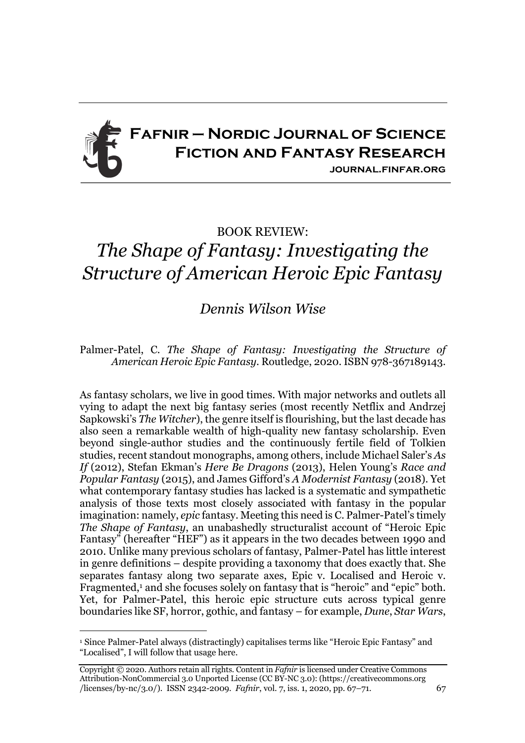

## BOOK REVIEW:

## *The Shape of Fantasy: Investigating the Structure of American Heroic Epic Fantasy*

## *Dennis Wilson Wise*

Palmer-Patel, C. *The Shape of Fantasy: Investigating the Structure of American Heroic Epic Fantasy*. Routledge, 2020. ISBN 978-367189143.

As fantasy scholars, we live in good times. With major networks and outlets all vying to adapt the next big fantasy series (most recently Netflix and Andrzej Sapkowski's *The Witcher*), the genre itself is flourishing, but the last decade has also seen a remarkable wealth of high-quality new fantasy scholarship. Even beyond single-author studies and the continuously fertile field of Tolkien studies, recent standout monographs, among others, include Michael Saler's *As If* (2012), Stefan Ekman's *Here Be Dragons* (2013), Helen Young's *Race and Popular Fantasy* (2015), and James Gifford's *A Modernist Fantasy* (2018). Yet what contemporary fantasy studies has lacked is a systematic and sympathetic analysis of those texts most closely associated with fantasy in the popular imagination: namely, *epic* fantasy. Meeting this need is C. Palmer-Patel's timely *The Shape of Fantasy*, an unabashedly structuralist account of "Heroic Epic Fantasy" (hereafter "HEF") as it appears in the two decades between 1990 and 2010. Unlike many previous scholars of fantasy, Palmer-Patel has little interest in genre definitions – despite providing a taxonomy that does exactly that. She separates fantasy along two separate axes, Epic v. Localised and Heroic v. Fragmented,<sup>1</sup> and she focuses solely on fantasy that is "heroic" and "epic" both. Yet, for Palmer-Patel, this heroic epic structure cuts across typical genre boundaries like SF, horror, gothic, and fantasy – for example, *Dune*, *Star Wars*,

<sup>1</sup> Since Palmer-Patel always (distractingly) capitalises terms like "Heroic Epic Fantasy" and "Localised", I will follow that usage here.

Copyright © 2020. Authors retain all rights. Content in *Fafnir* is licensed under Creative Commons Attribution-NonCommercial 3.0 Unported License (CC BY-NC 3.0): (https://creativecommons.org /licenses/by-nc/3.0/). ISSN 2342-2009. *Fafnir*, vol. 7, iss. 1, 2020, pp. 67–71. 67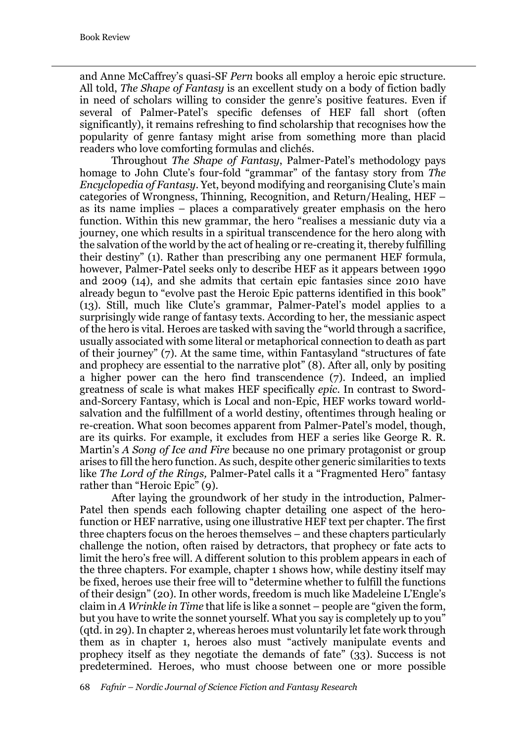and Anne McCaffrey's quasi-SF *Pern* books all employ a heroic epic structure. All told, *The Shape of Fantasy* is an excellent study on a body of fiction badly in need of scholars willing to consider the genre's positive features. Even if several of Palmer-Patel's specific defenses of HEF fall short (often significantly), it remains refreshing to find scholarship that recognises how the popularity of genre fantasy might arise from something more than placid readers who love comforting formulas and clichés.

Throughout *The Shape of Fantasy*, Palmer-Patel's methodology pays homage to John Clute's four-fold "grammar" of the fantasy story from *The Encyclopedia of Fantasy*. Yet, beyond modifying and reorganising Clute's main categories of Wrongness, Thinning, Recognition, and Return/Healing, HEF – as its name implies – places a comparatively greater emphasis on the hero function. Within this new grammar, the hero "realises a messianic duty via a journey, one which results in a spiritual transcendence for the hero along with the salvation of the world by the act of healing or re-creating it, thereby fulfilling their destiny" (1). Rather than prescribing any one permanent HEF formula, however, Palmer-Patel seeks only to describe HEF as it appears between 1990 and 2009 (14), and she admits that certain epic fantasies since 2010 have already begun to "evolve past the Heroic Epic patterns identified in this book" (13). Still, much like Clute's grammar, Palmer-Patel's model applies to a surprisingly wide range of fantasy texts. According to her, the messianic aspect of the hero is vital. Heroes are tasked with saving the "world through a sacrifice, usually associated with some literal or metaphorical connection to death as part of their journey" (7). At the same time, within Fantasyland "structures of fate and prophecy are essential to the narrative plot" (8). After all, only by positing a higher power can the hero find transcendence (7). Indeed, an implied greatness of scale is what makes HEF specifically *epic*. In contrast to Swordand-Sorcery Fantasy, which is Local and non-Epic, HEF works toward worldsalvation and the fulfillment of a world destiny, oftentimes through healing or re-creation. What soon becomes apparent from Palmer-Patel's model, though, are its quirks. For example, it excludes from HEF a series like George R. R. Martin's *A Song of Ice and Fire* because no one primary protagonist or group arises to fill the hero function. As such, despite other generic similarities to texts like *The Lord of the Rings,* Palmer-Patel calls it a "Fragmented Hero" fantasy rather than "Heroic Epic" (9).

After laying the groundwork of her study in the introduction, Palmer-Patel then spends each following chapter detailing one aspect of the herofunction or HEF narrative, using one illustrative HEF text per chapter. The first three chapters focus on the heroes themselves – and these chapters particularly challenge the notion, often raised by detractors, that prophecy or fate acts to limit the hero's free will. A different solution to this problem appears in each of the three chapters. For example, chapter 1 shows how, while destiny itself may be fixed, heroes use their free will to "determine whether to fulfill the functions of their design" (20). In other words, freedom is much like Madeleine L'Engle's claim in *A Wrinkle in Time* that life is like a sonnet – people are "given the form, but you have to write the sonnet yourself. What you say is completely up to you" (qtd. in 29). In chapter 2, whereas heroes must voluntarily let fate work through them as in chapter 1, heroes also must "actively manipulate events and prophecy itself as they negotiate the demands of fate" (33). Success is not predetermined. Heroes, who must choose between one or more possible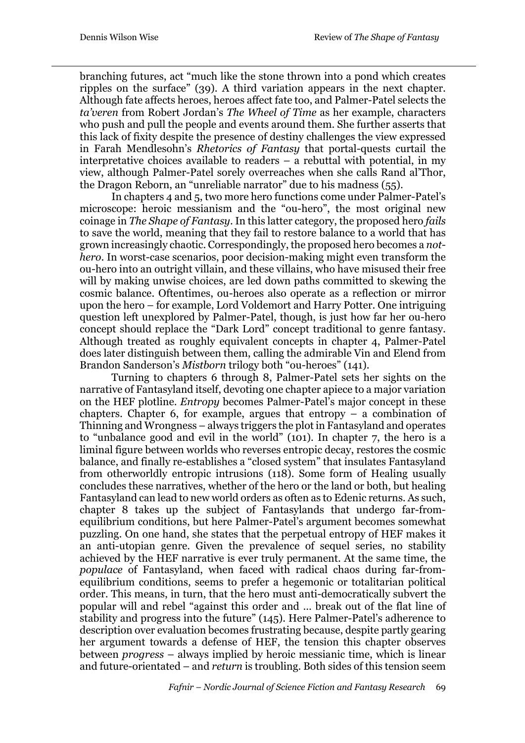branching futures, act "much like the stone thrown into a pond which creates ripples on the surface" (39). A third variation appears in the next chapter. Although fate affects heroes, heroes affect fate too, and Palmer-Patel selects the *ta'veren* from Robert Jordan's *The Wheel of Time* as her example, characters who push and pull the people and events around them. She further asserts that this lack of fixity despite the presence of destiny challenges the view expressed in Farah Mendlesohn's *Rhetorics of Fantasy* that portal-quests curtail the interpretative choices available to readers – a rebuttal with potential, in my view, although Palmer-Patel sorely overreaches when she calls Rand al'Thor, the Dragon Reborn, an "unreliable narrator" due to his madness (55).

In chapters 4 and 5, two more hero functions come under Palmer-Patel's microscope: heroic messianism and the "ou-hero", the most original new coinage in *The Shape of Fantasy*. In this latter category, the proposed hero *fails* to save the world, meaning that they fail to restore balance to a world that has grown increasingly chaotic. Correspondingly, the proposed hero becomes a *nothero*. In worst-case scenarios, poor decision-making might even transform the ou-hero into an outright villain, and these villains, who have misused their free will by making unwise choices, are led down paths committed to skewing the cosmic balance. Oftentimes, ou-heroes also operate as a reflection or mirror upon the hero – for example, Lord Voldemort and Harry Potter. One intriguing question left unexplored by Palmer-Patel, though, is just how far her ou*-*hero concept should replace the "Dark Lord" concept traditional to genre fantasy. Although treated as roughly equivalent concepts in chapter 4, Palmer-Patel does later distinguish between them, calling the admirable Vin and Elend from Brandon Sanderson's *Mistborn* trilogy both "ou-heroes" (141).

Turning to chapters 6 through 8, Palmer-Patel sets her sights on the narrative of Fantasyland itself, devoting one chapter apiece to a major variation on the HEF plotline. *Entropy* becomes Palmer-Patel's major concept in these chapters. Chapter 6, for example, argues that entropy  $-$  a combination of Thinning and Wrongness – always triggers the plot in Fantasyland and operates to "unbalance good and evil in the world" (101). In chapter 7, the hero is a liminal figure between worlds who reverses entropic decay, restores the cosmic balance, and finally re-establishes a "closed system" that insulates Fantasyland from otherworldly entropic intrusions (118). Some form of Healing usually concludes these narratives, whether of the hero or the land or both, but healing Fantasyland can lead to new world orders as often as to Edenic returns. As such, chapter 8 takes up the subject of Fantasylands that undergo far-fromequilibrium conditions, but here Palmer-Patel's argument becomes somewhat puzzling. On one hand, she states that the perpetual entropy of HEF makes it an anti-utopian genre. Given the prevalence of sequel series, no stability achieved by the HEF narrative is ever truly permanent. At the same time, the *populace* of Fantasyland, when faced with radical chaos during far-fromequilibrium conditions, seems to prefer a hegemonic or totalitarian political order. This means, in turn, that the hero must anti-democratically subvert the popular will and rebel "against this order and … break out of the flat line of stability and progress into the future" (145). Here Palmer-Patel's adherence to description over evaluation becomes frustrating because, despite partly gearing her argument towards a defense of HEF, the tension this chapter observes between *progress* – always implied by heroic messianic time, which is linear and future-orientated – and *return* is troubling. Both sides of this tension seem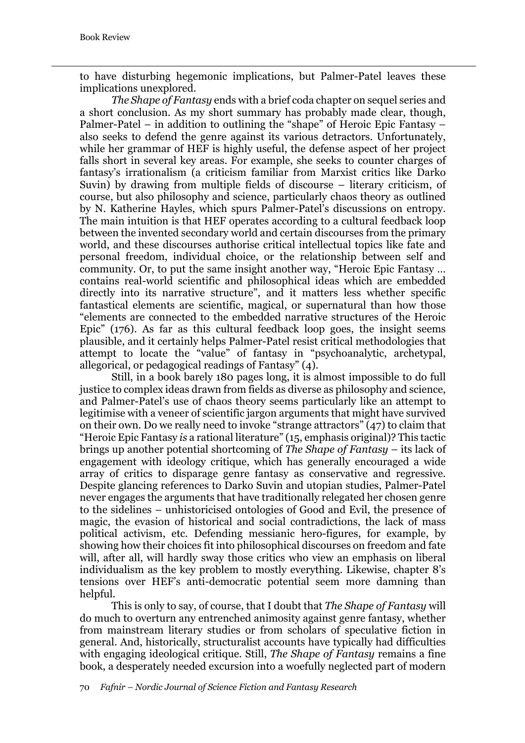to have disturbing hegemonic implications, but Palmer-Patel leaves these implications unexplored.

*The Shape of Fantasy* ends with a brief coda chapter on sequel series and a short conclusion. As my short summary has probably made clear, though, Palmer-Patel – in addition to outlining the "shape" of Heroic Epic Fantasy – also seeks to defend the genre against its various detractors. Unfortunately, while her grammar of HEF is highly useful, the defense aspect of her project falls short in several key areas. For example, she seeks to counter charges of fantasy's irrationalism (a criticism familiar from Marxist critics like Darko Suvin) by drawing from multiple fields of discourse – literary criticism, of course, but also philosophy and science, particularly chaos theory as outlined by N. Katherine Hayles, which spurs Palmer-Patel's discussions on entropy. The main intuition is that HEF operates according to a cultural feedback loop between the invented secondary world and certain discourses from the primary world, and these discourses authorise critical intellectual topics like fate and personal freedom, individual choice, or the relationship between self and community. Or, to put the same insight another way, "Heroic Epic Fantasy … contains real-world scientific and philosophical ideas which are embedded directly into its narrative structure", and it matters less whether specific fantastical elements are scientific, magical, or supernatural than how those "elements are connected to the embedded narrative structures of the Heroic Epic" (176). As far as this cultural feedback loop goes, the insight seems plausible, and it certainly helps Palmer-Patel resist critical methodologies that attempt to locate the "value" of fantasy in "psychoanalytic, archetypal, allegorical, or pedagogical readings of Fantasy" (4).

Still, in a book barely 180 pages long, it is almost impossible to do full justice to complex ideas drawn from fields as diverse as philosophy and science, and Palmer-Patel's use of chaos theory seems particularly like an attempt to legitimise with a veneer of scientific jargon arguments that might have survived on their own. Do we really need to invoke "strange attractors" (47) to claim that "Heroic Epic Fantasy *is* a rational literature" (15, emphasis original)? This tactic brings up another potential shortcoming of *The Shape of Fantasy* – its lack of engagement with ideology critique, which has generally encouraged a wide array of critics to disparage genre fantasy as conservative and regressive. Despite glancing references to Darko Suvin and utopian studies, Palmer-Patel never engages the arguments that have traditionally relegated her chosen genre to the sidelines – unhistoricised ontologies of Good and Evil, the presence of magic, the evasion of historical and social contradictions, the lack of mass political activism, etc. Defending messianic hero-figures, for example, by showing how their choices fit into philosophical discourses on freedom and fate will, after all, will hardly sway those critics who view an emphasis on liberal individualism as the key problem to mostly everything. Likewise, chapter 8's tensions over HEF's anti-democratic potential seem more damning than helpful.

This is only to say, of course, that I doubt that *The Shape of Fantasy* will do much to overturn any entrenched animosity against genre fantasy, whether from mainstream literary studies or from scholars of speculative fiction in general. And, historically, structuralist accounts have typically had difficulties with engaging ideological critique. Still, *The Shape of Fantasy* remains a fine book, a desperately needed excursion into a woefully neglected part of modern